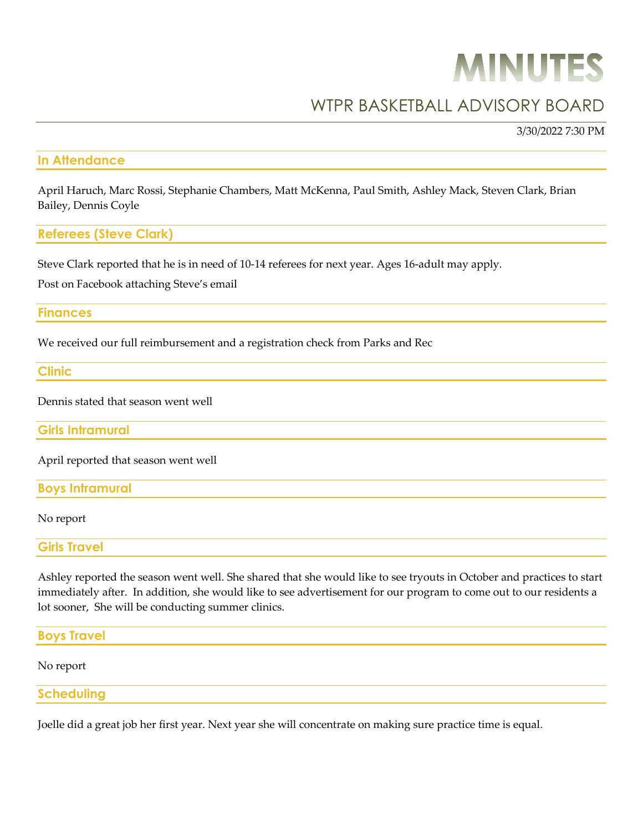# **MINUTES**

# WTPR BASKETBALL ADVISORY BOARD

3/30/2022 7:30 PM

#### **In Attendance**

April Haruch, Marc Rossi, Stephanie Chambers, Matt McKenna, Paul Smith, Ashley Mack, Steven Clark, Brian Bailey, Dennis Coyle

### **Referees (Steve Clark)**

Steve Clark reported that he is in need of 10-14 referees for next year. Ages 16-adult may apply.

Post on Facebook attaching Steve's email

#### **Finances**

We received our full reimbursement and a registration check from Parks and Rec

## **Clinic**

Dennis stated that season went well

**Girls Intramural**

April reported that season went well

#### **Boys Intramural**

#### No report

**Girls Travel**

Ashley reported the season went well. She shared that she would like to see tryouts in October and practices to start immediately after. In addition, she would like to see advertisement for our program to come out to our residents a lot sooner, She will be conducting summer clinics.

**Boys Travel**  No report **Scheduling**

Joelle did a great job her first year. Next year she will concentrate on making sure practice time is equal.